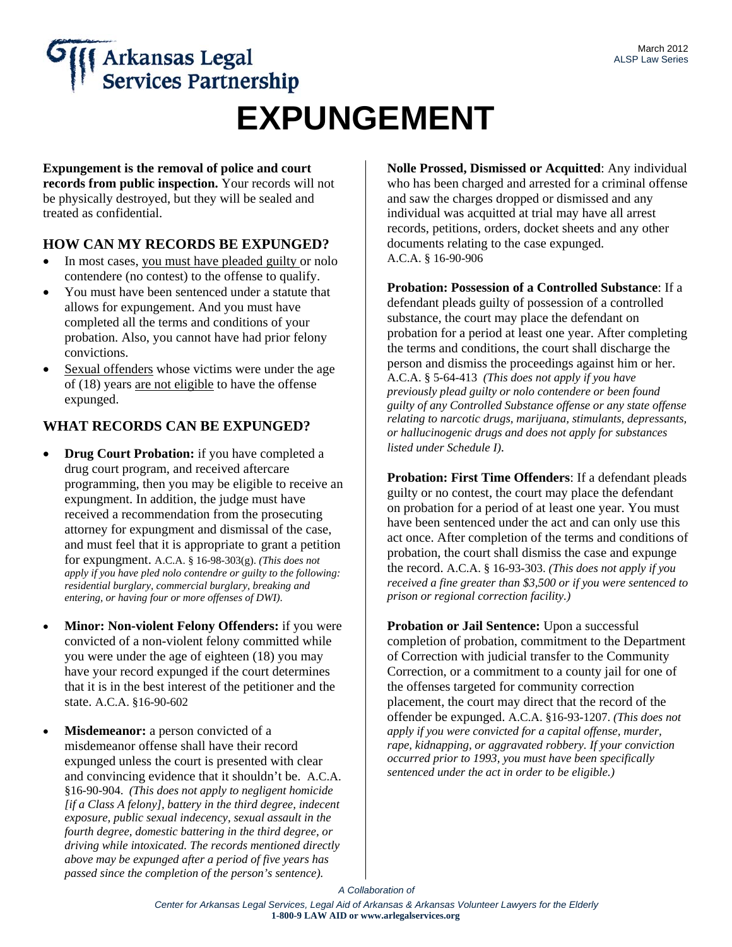# **Arkansas Legal<br>Services Partnership EXPUNGEMENT**

**Expungement is the removal of police and court records from public inspection.** Your records will not be physically destroyed, but they will be sealed and treated as confidential.

#### **HOW CAN MY RECORDS BE EXPUNGED?**

- In most cases, you must have pleaded guilty or nolo contendere (no contest) to the offense to qualify.
- You must have been sentenced under a statute that allows for expungement. And you must have completed all the terms and conditions of your probation. Also, you cannot have had prior felony convictions.
- Sexual offenders whose victims were under the age of (18) years are not eligible to have the offense expunged.

#### **WHAT RECORDS CAN BE EXPUNGED?**

- **Drug Court Probation:** if you have completed a drug court program, and received aftercare programming, then you may be eligible to receive an expungment. In addition, the judge must have received a recommendation from the prosecuting attorney for expungment and dismissal of the case, and must feel that it is appropriate to grant a petition for expungment. A.C.A. § 16-98-303(g). *(This does not apply if you have pled nolo contendre or guilty to the following: residential burglary, commercial burglary, breaking and entering, or having four or more offenses of DWI)*.
- **Minor: Non-violent Felony Offenders:** if you were convicted of a non-violent felony committed while you were under the age of eighteen (18) you may have your record expunged if the court determines that it is in the best interest of the petitioner and the state. A.C.A. §16-90-602
- **Misdemeanor:** a person convicted of a misdemeanor offense shall have their record expunged unless the court is presented with clear and convincing evidence that it shouldn't be. A.C.A. §16-90-904. *(This does not apply to negligent homicide [if a Class A felony], battery in the third degree, indecent exposure, public sexual indecency, sexual assault in the fourth degree, domestic battering in the third degree, or driving while intoxicated. The records mentioned directly above may be expunged after a period of five years has passed since the completion of the person's sentence).*

**Nolle Prossed, Dismissed or Acquitted**: Any individual who has been charged and arrested for a criminal offense and saw the charges dropped or dismissed and any individual was acquitted at trial may have all arrest records, petitions, orders, docket sheets and any other documents relating to the case expunged. A.C.A. § 16-90-906

**Probation: Possession of a Controlled Substance**: If a defendant pleads guilty of possession of a controlled substance, the court may place the defendant on probation for a period at least one year. After completing the terms and conditions, the court shall discharge the person and dismiss the proceedings against him or her. A.C.A. § 5-64-413 *(This does not apply if you have previously plead guilty or nolo contendere or been found guilty of any Controlled Substance offense or any state offense relating to narcotic drugs, marijuana, stimulants, depressants, or hallucinogenic drugs and does not apply for substances listed under Schedule I)*.

**Probation: First Time Offenders**: If a defendant pleads guilty or no contest, the court may place the defendant on probation for a period of at least one year. You must have been sentenced under the act and can only use this act once. After completion of the terms and conditions of probation, the court shall dismiss the case and expunge the record. A.C.A. § 16-93-303. *(This does not apply if you received a fine greater than \$3,500 or if you were sentenced to prison or regional correction facility.)* 

**Probation or Jail Sentence:** Upon a successful completion of probation, commitment to the Department of Correction with judicial transfer to the Community Correction, or a commitment to a county jail for one of the offenses targeted for community correction placement, the court may direct that the record of the offender be expunged. A.C.A. §16-93-1207. *(This does not apply if you were convicted for a capital offense, murder, rape, kidnapping, or aggravated robbery. If your conviction occurred prior to 1993, you must have been specifically sentenced under the act in order to be eligible.)*

*A Collaboration of*